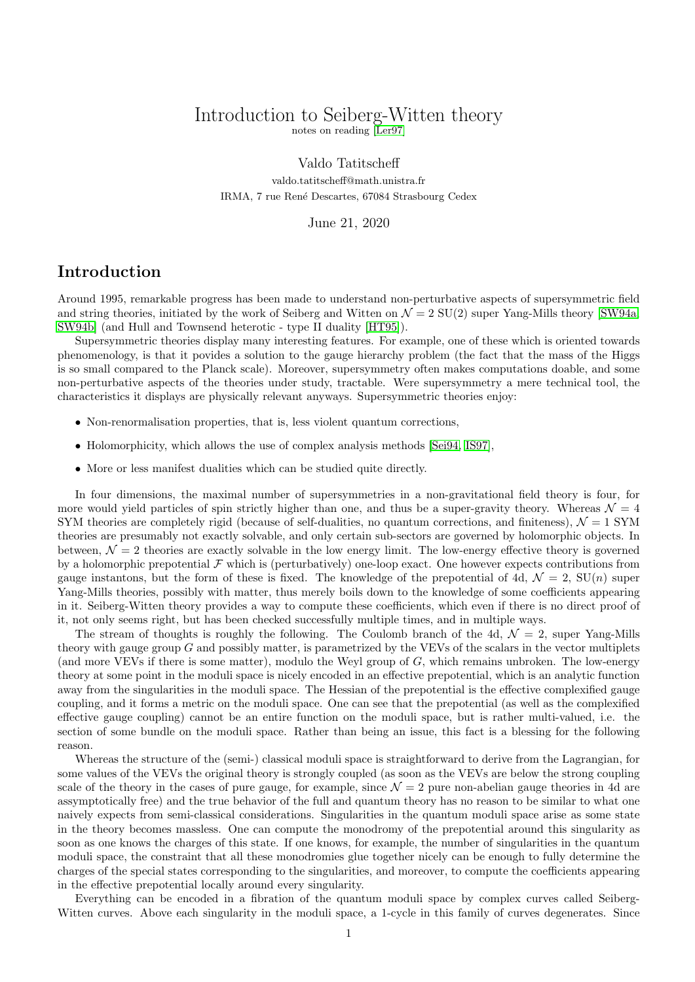# Introduction to Seiberg-Witten theory

notes on reading [\[Ler97\]](#page-8-0)

Valdo Tatitscheff valdo.tatitscheff@math.unistra.fr IRMA, 7 rue Ren´e Descartes, 67084 Strasbourg Cedex

June 21, 2020

## Introduction

Around 1995, remarkable progress has been made to understand non-perturbative aspects of supersymmetric field and string theories, initiated by the work of Seiberg and Witten on  $\mathcal{N} = 2$  SU(2) super Yang-Mills theory [\[SW94a,](#page-8-1) [SW94b\]](#page-8-2) (and Hull and Townsend heterotic - type II duality [\[HT95\]](#page-8-3)).

Supersymmetric theories display many interesting features. For example, one of these which is oriented towards phenomenology, is that it povides a solution to the gauge hierarchy problem (the fact that the mass of the Higgs is so small compared to the Planck scale). Moreover, supersymmetry often makes computations doable, and some non-perturbative aspects of the theories under study, tractable. Were supersymmetry a mere technical tool, the characteristics it displays are physically relevant anyways. Supersymmetric theories enjoy:

- Non-renormalisation properties, that is, less violent quantum corrections,
- Holomorphicity, which allows the use of complex analysis methods [\[Sei94,](#page-8-4) [IS97\]](#page-8-5),
- More or less manifest dualities which can be studied quite directly.

In four dimensions, the maximal number of supersymmetries in a non-gravitational field theory is four, for more would yield particles of spin strictly higher than one, and thus be a super-gravity theory. Whereas  $\mathcal{N} = 4$ SYM theories are completely rigid (because of self-dualities, no quantum corrections, and finiteness),  $\mathcal{N} = 1$  SYM theories are presumably not exactly solvable, and only certain sub-sectors are governed by holomorphic objects. In between,  $\mathcal{N} = 2$  theories are exactly solvable in the low energy limit. The low-energy effective theory is governed by a holomorphic prepotential  $\mathcal F$  which is (perturbatively) one-loop exact. One however expects contributions from gauge instantons, but the form of these is fixed. The knowledge of the prepotential of 4d,  $\mathcal{N} = 2$ ,  $SU(n)$  super Yang-Mills theories, possibly with matter, thus merely boils down to the knowledge of some coefficients appearing in it. Seiberg-Witten theory provides a way to compute these coefficients, which even if there is no direct proof of it, not only seems right, but has been checked successfully multiple times, and in multiple ways.

The stream of thoughts is roughly the following. The Coulomb branch of the 4d,  $\mathcal{N} = 2$ , super Yang-Mills theory with gauge group  $G$  and possibly matter, is parametrized by the VEVs of the scalars in the vector multiplets (and more VEVs if there is some matter), modulo the Weyl group of G, which remains unbroken. The low-energy theory at some point in the moduli space is nicely encoded in an effective prepotential, which is an analytic function away from the singularities in the moduli space. The Hessian of the prepotential is the effective complexified gauge coupling, and it forms a metric on the moduli space. One can see that the prepotential (as well as the complexified effective gauge coupling) cannot be an entire function on the moduli space, but is rather multi-valued, i.e. the section of some bundle on the moduli space. Rather than being an issue, this fact is a blessing for the following reason.

Whereas the structure of the (semi-) classical moduli space is straightforward to derive from the Lagrangian, for some values of the VEVs the original theory is strongly coupled (as soon as the VEVs are below the strong coupling scale of the theory in the cases of pure gauge, for example, since  $\mathcal{N} = 2$  pure non-abelian gauge theories in 4d are assymptotically free) and the true behavior of the full and quantum theory has no reason to be similar to what one naively expects from semi-classical considerations. Singularities in the quantum moduli space arise as some state in the theory becomes massless. One can compute the monodromy of the prepotential around this singularity as soon as one knows the charges of this state. If one knows, for example, the number of singularities in the quantum moduli space, the constraint that all these monodromies glue together nicely can be enough to fully determine the charges of the special states corresponding to the singularities, and moreover, to compute the coefficients appearing in the effective prepotential locally around every singularity.

Everything can be encoded in a fibration of the quantum moduli space by complex curves called Seiberg-Witten curves. Above each singularity in the moduli space, a 1-cycle in this family of curves degenerates. Since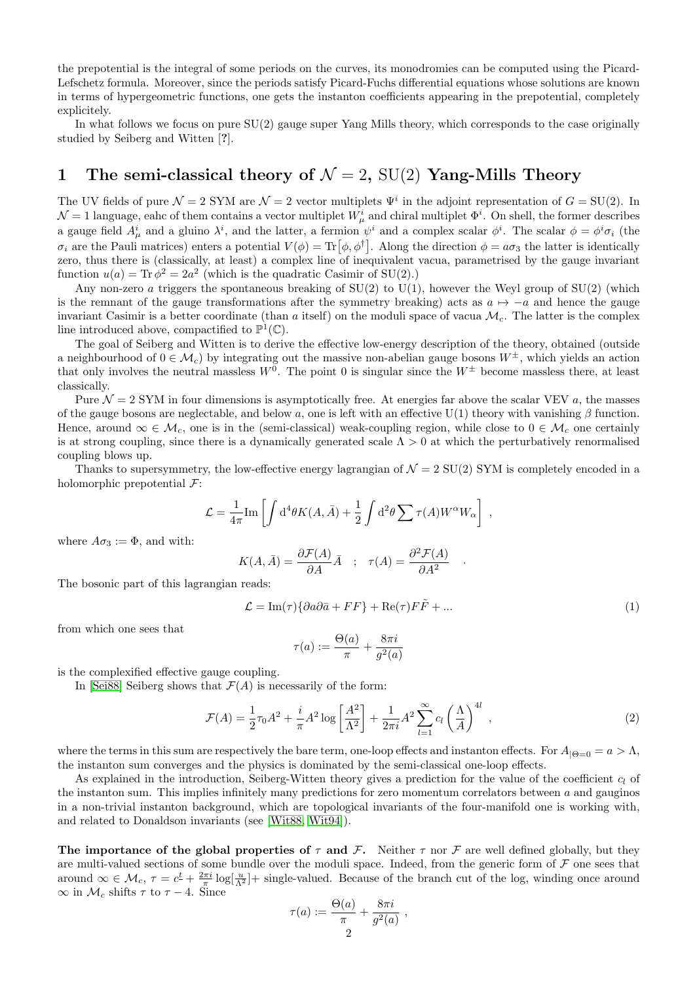the prepotential is the integral of some periods on the curves, its monodromies can be computed using the Picard-Lefschetz formula. Moreover, since the periods satisfy Picard-Fuchs differential equations whose solutions are known in terms of hypergeometric functions, one gets the instanton coefficients appearing in the prepotential, completely explicitely.

In what follows we focus on pure SU(2) gauge super Yang Mills theory, which corresponds to the case originally studied by Seiberg and Witten [?].

## 1 The semi-classical theory of  $\mathcal{N} = 2$ , SU(2) Yang-Mills Theory

The UV fields of pure  $\mathcal{N} = 2$  SYM are  $\mathcal{N} = 2$  vector multiplets  $\Psi^i$  in the adjoint representation of  $G = SU(2)$ . In  $\mathcal{N}=1$  language, eahc of them contains a vector multiplet  $W^i_\mu$  and chiral multiplet  $\Phi^i$ . On shell, the former describes a gauge field  $A^i_\mu$  and a gluino  $\lambda^i$ , and the latter, a fermion  $\psi^i$  and a complex scalar  $\phi^i$ . The scalar  $\phi = \phi^i \sigma_i$  (the  $\sigma_i$  are the Pauli matrices) enters a potential  $V(\phi) = \text{Tr}[\phi, \phi^\dagger]$ . Along the direction  $\phi = a\sigma_3$  the latter is identically zero, thus there is (classically, at least) a complex line of inequivalent vacua, parametrised by the gauge invariant function  $u(a) = \text{Tr} \phi^2 = 2a^2$  (which is the quadratic Casimir of SU(2).)

Any non-zero a triggers the spontaneous breaking of  $SU(2)$  to  $U(1)$ , however the Weyl group of  $SU(2)$  (which is the remnant of the gauge transformations after the symmetry breaking) acts as  $a \mapsto -a$  and hence the gauge invariant Casimir is a better coordinate (than a itself) on the moduli space of vacua  $\mathcal{M}_c$ . The latter is the complex line introduced above, compactified to  $\mathbb{P}^1(\mathbb{C})$ .

The goal of Seiberg and Witten is to derive the effective low-energy description of the theory, obtained (outside a neighbourhood of  $0 \in \mathcal{M}_c$  by integrating out the massive non-abelian gauge bosons  $W^{\pm}$ , which yields an action that only involves the neutral massless  $W^0$ . The point 0 is singular since the  $W^{\pm}$  become massless there, at least classically.

Pure  $\mathcal{N} = 2$  SYM in four dimensions is asymptotically free. At energies far above the scalar VEV a, the masses of the gauge bosons are neglectable, and below a, one is left with an effective  $U(1)$  theory with vanishing  $\beta$  function. Hence, around  $\infty \in \mathcal{M}_c$ , one is in the (semi-classical) weak-coupling region, while close to  $0 \in \mathcal{M}_c$  one certainly is at strong coupling, since there is a dynamically generated scale  $\Lambda > 0$  at which the perturbatively renormalised coupling blows up.

Thanks to supersymmetry, the low-effective energy lagrangian of  $\mathcal{N} = 2$  SU(2) SYM is completely encoded in a holomorphic prepotential  $\mathcal{F}$ :

$$
\mathcal{L} = \frac{1}{4\pi} \text{Im} \left[ \int d^4\theta K(A, \bar{A}) + \frac{1}{2} \int d^2\theta \sum \tau(A) W^{\alpha} W_{\alpha} \right],
$$

where  $A\sigma_3 := \Phi$ , and with:

$$
K(A, \bar{A}) = \frac{\partial \mathcal{F}(A)}{\partial A} \bar{A} \quad ; \quad \tau(A) = \frac{\partial^2 \mathcal{F}(A)}{\partial A^2}
$$

The bosonic part of this lagrangian reads:

<span id="page-1-0"></span>
$$
\mathcal{L} = \text{Im}(\tau)\{\partial a\partial \bar{a} + FF\} + \text{Re}(\tau)F\tilde{F} + \dots \tag{1}
$$

.

from which one sees that

$$
\tau(a) := \frac{\Theta(a)}{\pi} + \frac{8\pi i}{g^2(a)}
$$

is the complexified effective gauge coupling.

In [\[Sei88\]](#page-8-6) Seiberg shows that  $\mathcal{F}(A)$  is necessarily of the form:

<span id="page-1-1"></span>
$$
\mathcal{F}(A) = \frac{1}{2}\tau_0 A^2 + \frac{i}{\pi} A^2 \log\left[\frac{A^2}{\Lambda^2}\right] + \frac{1}{2\pi i} A^2 \sum_{l=1}^{\infty} c_l \left(\frac{\Lambda}{A}\right)^{4l},\tag{2}
$$

where the terms in this sum are respectively the bare term, one-loop effects and instanton effects. For  $A_{\vert \Theta=0} = a > \Lambda$ , the instanton sum converges and the physics is dominated by the semi-classical one-loop effects.

As explained in the introduction, Seiberg-Witten theory gives a prediction for the value of the coefficient  $c_l$  of the instanton sum. This implies infinitely many predictions for zero momentum correlators between  $a$  and gauginos in a non-trivial instanton background, which are topological invariants of the four-manifold one is working with, and related to Donaldson invariants (see [\[Wit88,](#page-8-7) [Wit94\]](#page-8-8)).

The importance of the global properties of  $\tau$  and F. Neither  $\tau$  nor F are well defined globally, but they are multi-valued sections of some bundle over the moduli space. Indeed, from the generic form of  $\mathcal F$  one sees that around  $\infty \in \mathcal{M}_c$ ,  $\tau = c^{\underline{t}} + \frac{2\pi i}{\pi} \log \left[ \frac{u}{\Lambda^2} \right] +$  single-valued. Because of the branch cut of the log, winding once around  $\infty$  in  $\mathcal{M}_c$  shifts  $\tau$  to  $\tau - 4$ . Since

$$
\tau(a) := \frac{\Theta(a)}{\pi} + \frac{8\pi i}{g^2(a)} ,
$$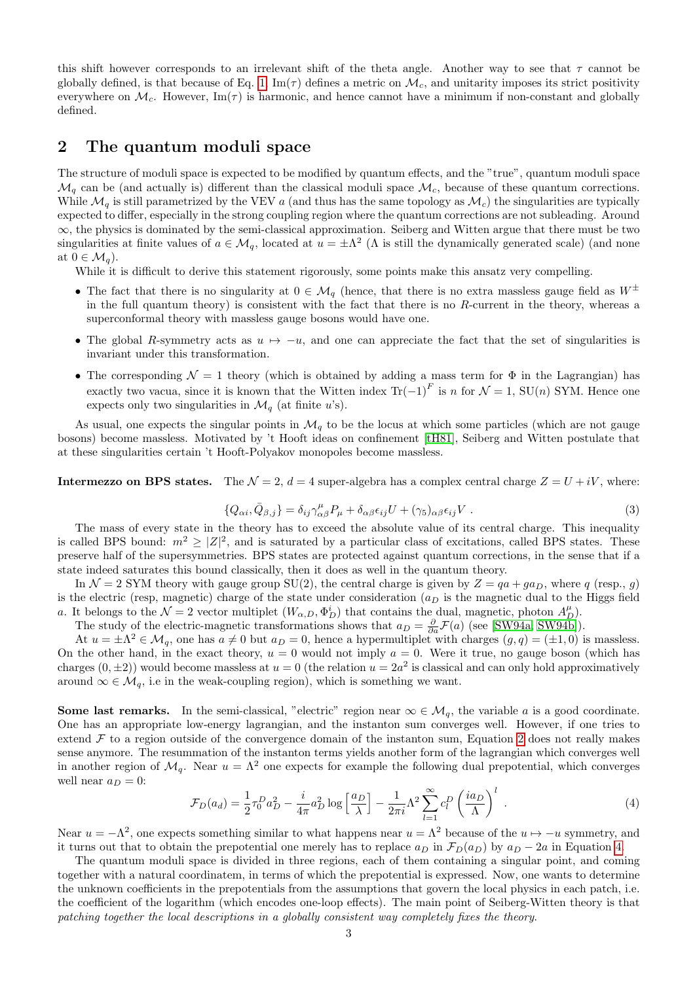this shift however corresponds to an irrelevant shift of the theta angle. Another way to see that  $\tau$  cannot be globally defined, is that because of Eq. [1,](#page-1-0)  $\text{Im}(\tau)$  defines a metric on  $\mathcal{M}_c$ , and unitarity imposes its strict positivity everywhere on  $\mathcal{M}_c$ . However, Im( $\tau$ ) is harmonic, and hence cannot have a minimum if non-constant and globally defined.

## 2 The quantum moduli space

The structure of moduli space is expected to be modified by quantum effects, and the "true", quantum moduli space  $\mathcal{M}_q$  can be (and actually is) different than the classical moduli space  $\mathcal{M}_c$ , because of these quantum corrections. While  $\mathcal{M}_q$  is still parametrized by the VEV a (and thus has the same topology as  $\mathcal{M}_c$ ) the singularities are typically expected to differ, especially in the strong coupling region where the quantum corrections are not subleading. Around ∞, the physics is dominated by the semi-classical approximation. Seiberg and Witten argue that there must be two singularities at finite values of  $a \in \mathcal{M}_q$ , located at  $u = \pm \Lambda^2$  ( $\Lambda$  is still the dynamically generated scale) (and none at  $0 \in \mathcal{M}_q$ .

While it is difficult to derive this statement rigorously, some points make this ansatz very compelling.

- The fact that there is no singularity at  $0 \in \mathcal{M}_q$  (hence, that there is no extra massless gauge field as  $W^{\pm}$ in the full quantum theory) is consistent with the fact that there is no  $R$ -current in the theory, whereas a superconformal theory with massless gauge bosons would have one.
- The global R-symmetry acts as  $u \mapsto -u$ , and one can appreciate the fact that the set of singularities is invariant under this transformation.
- The corresponding  $\mathcal{N} = 1$  theory (which is obtained by adding a mass term for  $\Phi$  in the Lagrangian) has exactly two vacua, since it is known that the Witten index  $\text{Tr}(-1)^F$  is n for  $\mathcal{N}=1$ , SU(n) SYM. Hence one expects only two singularities in  $\mathcal{M}_q$  (at finite u's).

As usual, one expects the singular points in  $\mathcal{M}_q$  to be the locus at which some particles (which are not gauge bosons) become massless. Motivated by 't Hooft ideas on confinement [\[tH81\]](#page-8-9), Seiberg and Witten postulate that at these singularities certain 't Hooft-Polyakov monopoles become massless.

**Intermezzo on BPS states.** The  $\mathcal{N} = 2$ ,  $d = 4$  super-algebra has a complex central charge  $Z = U + iV$ , where:

$$
\{Q_{\alpha i}, \bar{Q}_{\beta,j}\} = \delta_{ij}\gamma^{\mu}_{\alpha\beta}P_{\mu} + \delta_{\alpha\beta}\epsilon_{ij}U + (\gamma_5)_{\alpha\beta}\epsilon_{ij}V . \tag{3}
$$

The mass of every state in the theory has to exceed the absolute value of its central charge. This inequality is called BPS bound:  $m^2 \geq |Z|^2$ , and is saturated by a particular class of excitations, called BPS states. These preserve half of the supersymmetries. BPS states are protected against quantum corrections, in the sense that if a state indeed saturates this bound classically, then it does as well in the quantum theory.

In  $\mathcal{N} = 2$  SYM theory with gauge group SU(2), the central charge is given by  $Z = qa + ga_D$ , where q (resp., g) is the electric (resp, magnetic) charge of the state under consideration  $(a<sub>D</sub>)$  is the magnetic dual to the Higgs field a. It belongs to the  $\mathcal{N}=2$  vector multiplet  $(W_{\alpha,D}, \Phi_D^i)$  that contains the dual, magnetic, photon  $A_D^{\mu}$ ).

The study of the electric-magnetic transformations shows that  $a_D = \frac{\partial}{\partial a} \mathcal{F}(a)$  (see [\[SW94a,](#page-8-1) [SW94b\]](#page-8-2)).

At  $u = \pm \Lambda^2 \in \mathcal{M}_q$ , one has  $a \neq 0$  but  $a_D = 0$ , hence a hypermultiplet with charges  $(g, q) = (\pm 1, 0)$  is massless. On the other hand, in the exact theory,  $u = 0$  would not imply  $a = 0$ . Were it true, no gauge boson (which has charges  $(0, \pm 2)$ ) would become massless at  $u = 0$  (the relation  $u = 2a^2$  is classical and can only hold approximatively around  $\infty \in \mathcal{M}_q$ , i.e in the weak-coupling region), which is something we want.

Some last remarks. In the semi-classical, "electric" region near  $\infty \in \mathcal{M}_q$ , the variable a is a good coordinate. One has an appropriate low-energy lagrangian, and the instanton sum converges well. However, if one tries to extend  $\mathcal F$  to a region outside of the convergence domain of the instanton sum, Equation [2](#page-1-1) does not really makes sense anymore. The resummation of the instanton terms yields another form of the lagrangian which converges well in another region of  $\mathcal{M}_q$ . Near  $u = \Lambda^2$  one expects for example the following dual prepotential, which converges well near  $a_D = 0$ :

<span id="page-2-0"></span>
$$
\mathcal{F}_D(a_d) = \frac{1}{2}\tau_0^D a_D^2 - \frac{i}{4\pi}a_D^2 \log\left[\frac{a_D}{\lambda}\right] - \frac{1}{2\pi i}\Lambda^2 \sum_{l=1}^{\infty} c_l^D \left(\frac{ia_D}{\Lambda}\right)^l \tag{4}
$$

Near  $u = -\Lambda^2$ , one expects something similar to what happens near  $u = \Lambda^2$  because of the  $u \mapsto -u$  symmetry, and it turns out that to obtain the prepotential one merely has to replace  $a_D$  in  $\mathcal{F}_D(a_D)$  by  $a_D - 2a$  in Equation [4.](#page-2-0)

The quantum moduli space is divided in three regions, each of them containing a singular point, and coming together with a natural coordinatem, in terms of which the prepotential is expressed. Now, one wants to determine the unknown coefficients in the prepotentials from the assumptions that govern the local physics in each patch, i.e. the coefficient of the logarithm (which encodes one-loop effects). The main point of Seiberg-Witten theory is that patching together the local descriptions in a globally consistent way completely fixes the theory.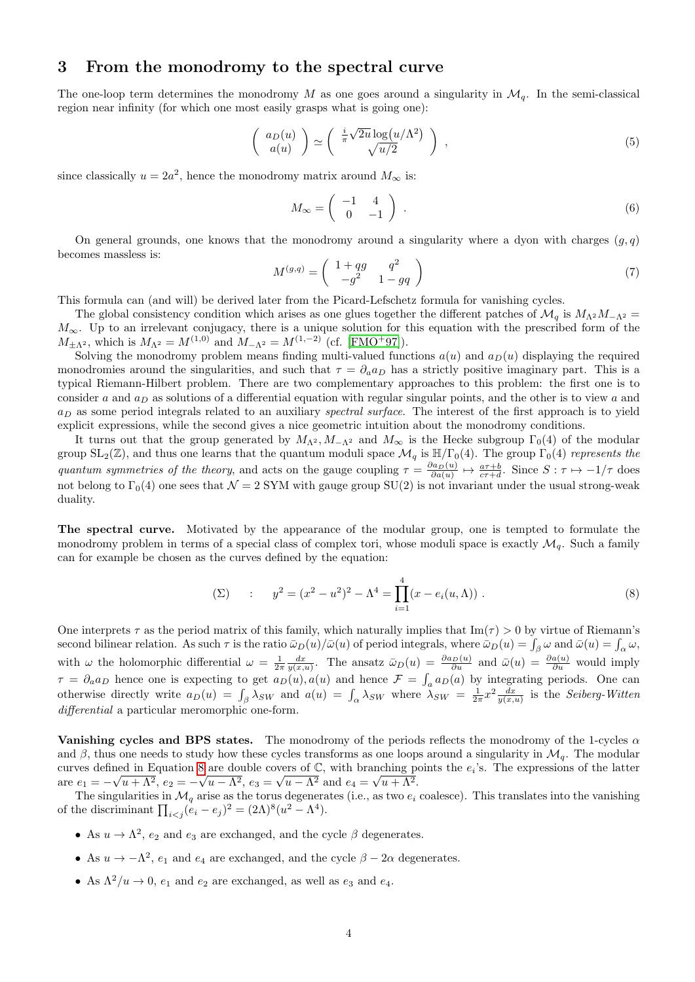#### 3 From the monodromy to the spectral curve

The one-loop term determines the monodromy M as one goes around a singularity in  $\mathcal{M}_q$ . In the semi-classical region near infinity (for which one most easily grasps what is going one):

$$
\left(\begin{array}{c} a_D(u) \\ a(u) \end{array}\right) \simeq \left(\begin{array}{c} \frac{i}{\pi} \sqrt{2u} \log(u/\Lambda^2) \\ \sqrt{u/2} \end{array}\right) , \qquad (5)
$$

since classically  $u = 2a^2$ , hence the monodromy matrix around  $M_{\infty}$  is:

$$
M_{\infty} = \left(\begin{array}{cc} -1 & 4\\ 0 & -1 \end{array}\right) \tag{6}
$$

On general grounds, one knows that the monodromy around a singularity where a dyon with charges  $(q, q)$ becomes massless is:

<span id="page-3-1"></span>
$$
M^{(g,q)} = \begin{pmatrix} 1+qg & q^2 \\ -g^2 & 1-gq \end{pmatrix} \tag{7}
$$

This formula can (and will) be derived later from the Picard-Lefschetz formula for vanishing cycles.

The global consistency condition which arises as one glues together the different patches of  $\mathcal{M}_q$  is  $M_{\Lambda^2}M_{-\Lambda^2}$  =  $M_{\infty}$ . Up to an irrelevant conjugacy, there is a unique solution for this equation with the prescribed form of the  $M_{\pm\Lambda^2}$ , which is  $M_{\Lambda^2} = M^{(1,0)}$  and  $M_{-\Lambda^2} = M^{(1,-2)}$  (cf. [\[FMO](#page-8-10)<sup>+</sup>97]).

Solving the monodromy problem means finding multi-valued functions  $a(u)$  and  $a_D(u)$  displaying the required monodromies around the singularities, and such that  $\tau = \partial_a a_D$  has a strictly positive imaginary part. This is a typical Riemann-Hilbert problem. There are two complementary approaches to this problem: the first one is to consider a and  $a_D$  as solutions of a differential equation with regular singular points, and the other is to view a and  $a_D$  as some period integrals related to an auxiliary spectral surface. The interest of the first approach is to yield explicit expressions, while the second gives a nice geometric intuition about the monodromy conditions.

It turns out that the group generated by  $M_{\Lambda^2}$ ,  $M_{-\Lambda^2}$  and  $M_{\infty}$  is the Hecke subgroup  $\Gamma_0(4)$  of the modular group  $SL_2(\mathbb{Z})$ , and thus one learns that the quantum moduli space  $\mathcal{M}_q$  is  $\mathbb{H}/\Gamma_0(4)$ . The group  $\Gamma_0(4)$  represents the quantum symmetries of the theory, and acts on the gauge coupling  $\tau = \frac{\partial a_D(u)}{\partial a(u)} \mapsto \frac{a\tau+b}{c\tau+d}$ . Since  $S : \tau \mapsto -1/\tau$  does not belong to  $\Gamma_0(4)$  one sees that  $\mathcal{N}=2$  SYM with gauge group SU(2) is not invariant under the usual strong-weak duality.

The spectral curve. Motivated by the appearance of the modular group, one is tempted to formulate the monodromy problem in terms of a special class of complex tori, whose moduli space is exactly  $\mathcal{M}_q$ . Such a family can for example be chosen as the curves defined by the equation:

<span id="page-3-0"></span>
$$
\text{(2)} \qquad : \qquad y^2 = (x^2 - u^2)^2 - \Lambda^4 = \prod_{i=1}^4 (x - e_i(u, \Lambda)) \; . \tag{8}
$$

One interprets  $\tau$  as the period matrix of this family, which naturally implies that Im( $\tau$ ) > 0 by virtue of Riemann's second bilinear relation. As such  $\tau$  is the ratio  $\bar{\omega}_D(u)/\bar{\omega}(u)$  of period integrals, where  $\bar{\omega}_D(u) = \int_{\beta} \omega$  and  $\bar{\omega}(u) = \int_{\alpha} \omega$ , with  $\omega$  the holomorphic differential  $\omega = \frac{1}{2\pi} \frac{dx}{y(x,u)}$ . The ansatz  $\bar{\omega}_D(u) = \frac{\partial a_D(u)}{\partial u}$  and  $\bar{\omega}(u) = \frac{\partial a(u)}{\partial u}$  would imply  $\tau = \partial_a a_D$  hence one is expecting to get  $a_D(u)$ ,  $a(u)$  and hence  $\mathcal{F} = \int_a a_D(u)$  by integrating periods. One can otherwise directly write  $a_D(u) = \int_{\beta} \lambda_{SW}$  and  $a(u) = \int_{\alpha} \lambda_{SW}$  where  $\lambda_{SW} = \frac{1}{2\pi}x^2 \frac{dx}{y(x,u)}$  is the Seiberg-Witten differential a particular meromorphic one-form.

Vanishing cycles and BPS states. The monodromy of the periods reflects the monodromy of the 1-cycles  $\alpha$ and  $\beta$ , thus one needs to study how these cycles transforms as one loops around a singularity in  $\mathcal{M}_q$ . The modular curves defined in Equation [8](#page-3-0) are double covers of  $\mathbb{C}$ , with branching points the  $e_i$ 's. The expressions of the latter are  $e_1 = -\sqrt{u + \Lambda^2}$ ,  $e_2 = -\sqrt{u - \Lambda^2}$ ,  $e_3 = \sqrt{u - \Lambda^2}$  and  $e_4 = \sqrt{u + \Lambda^2}$ .

The singularities in  $\mathcal{M}_q$  arise as the torus degenerates (i.e., as two  $e_i$  coalesce). This translates into the vanishing of the discriminant  $\prod_{i < j} (e_i - e_j)^2 = (2\Lambda)^8 (u^2 - \Lambda^4).$ 

- As  $u \to \Lambda^2$ ,  $e_2$  and  $e_3$  are exchanged, and the cycle  $\beta$  degenerates.
- As  $u \to -\Lambda^2$ ,  $e_1$  and  $e_4$  are exchanged, and the cycle  $\beta 2\alpha$  degenerates.
- As  $\Lambda^2/u \to 0$ ,  $e_1$  and  $e_2$  are exchanged, as well as  $e_3$  and  $e_4$ .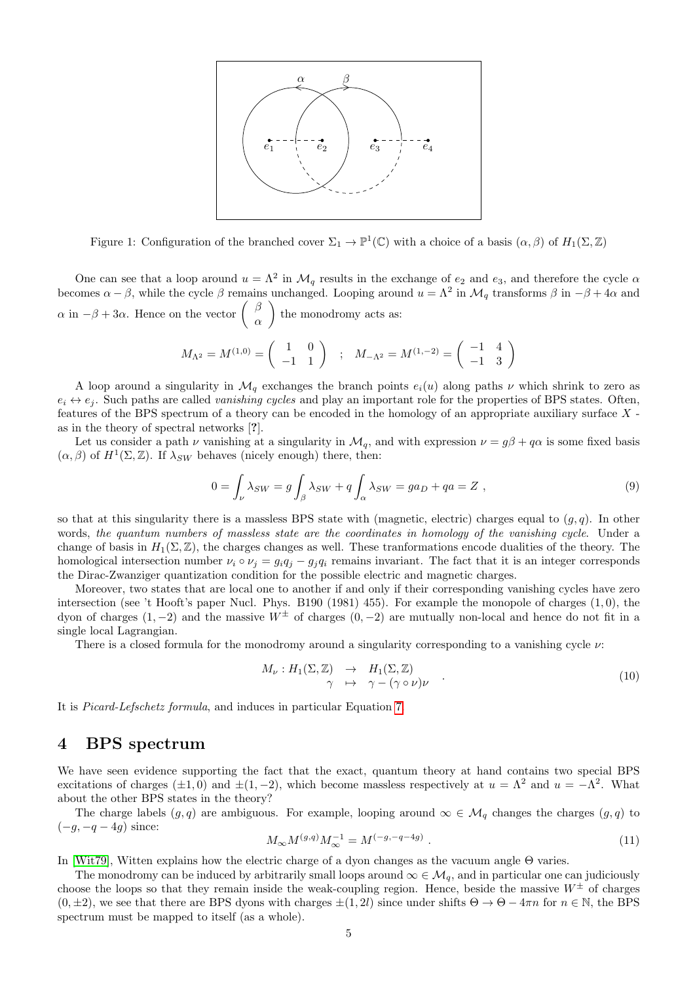

Figure 1: Configuration of the branched cover  $\Sigma_1 \to \mathbb{P}^1(\mathbb{C})$  with a choice of a basis  $(\alpha, \beta)$  of  $H_1(\Sigma, \mathbb{Z})$ 

One can see that a loop around  $u = \Lambda^2$  in  $\mathcal{M}_q$  results in the exchange of  $e_2$  and  $e_3$ , and therefore the cycle  $\alpha$ becomes  $\alpha - \beta$ , while the cycle  $\beta$  remains unchanged. Looping around  $u = \Lambda^2$  in  $\mathcal{M}_q$  transforms  $\beta$  in  $-\beta + 4\alpha$  and  $\alpha$  in  $-\beta + 3\alpha$ . Hence on the vector  $\begin{pmatrix} \beta & \beta \\ 0 & \beta \end{pmatrix}$ α ) the monodromy acts as:

$$
M_{\Lambda^2} = M^{(1,0)} = \begin{pmatrix} 1 & 0 \\ -1 & 1 \end{pmatrix}
$$
;  $M_{-\Lambda^2} = M^{(1,-2)} = \begin{pmatrix} -1 & 4 \\ -1 & 3 \end{pmatrix}$ 

A loop around a singularity in  $\mathcal{M}_q$  exchanges the branch points  $e_i(u)$  along paths  $\nu$  which shrink to zero as  $e_i \leftrightarrow e_j$ . Such paths are called *vanishing cycles* and play an important role for the properties of BPS states. Often, features of the BPS spectrum of a theory can be encoded in the homology of an appropriate auxiliary surface X as in the theory of spectral networks [?].

Let us consider a path  $\nu$  vanishing at a singularity in  $\mathcal{M}_q$ , and with expression  $\nu = g\beta + q\alpha$  is some fixed basis  $(\alpha, \beta)$  of  $H^1(\Sigma, \mathbb{Z})$ . If  $\lambda_{SW}$  behaves (nicely enough) there, then:

$$
0 = \int_{\nu} \lambda_{SW} = g \int_{\beta} \lambda_{SW} + q \int_{\alpha} \lambda_{SW} = ga_D + qa = Z , \qquad (9)
$$

so that at this singularity there is a massless BPS state with (magnetic, electric) charges equal to  $(q, q)$ . In other words, the quantum numbers of massless state are the coordinates in homology of the vanishing cycle. Under a change of basis in  $H_1(\Sigma, \mathbb{Z})$ , the charges changes as well. These tranformations encode dualities of the theory. The homological intersection number  $\nu_i \circ \nu_j = g_i q_j - g_j q_i$  remains invariant. The fact that it is an integer corresponds the Dirac-Zwanziger quantization condition for the possible electric and magnetic charges.

Moreover, two states that are local one to another if and only if their corresponding vanishing cycles have zero intersection (see 't Hooft's paper Nucl. Phys. B190 (1981) 455). For example the monopole of charges  $(1,0)$ , the dyon of charges  $(1, -2)$  and the massive  $W^{\pm}$  of charges  $(0, -2)$  are mutually non-local and hence do not fit in a single local Lagrangian.

There is a closed formula for the monodromy around a singularity corresponding to a vanishing cycle  $\nu$ :

$$
M_{\nu}: H_1(\Sigma, \mathbb{Z}) \rightarrow H_1(\Sigma, \mathbb{Z})
$$
  

$$
\gamma \rightarrow \gamma - (\gamma \circ \nu)\nu
$$
 (10)

It is Picard-Lefschetz formula, and induces in particular Equation [7.](#page-3-1)

#### 4 BPS spectrum

We have seen evidence supporting the fact that the exact, quantum theory at hand contains two special BPS excitations of charges  $(\pm 1, 0)$  and  $\pm (1, -2)$ , which become massless respectively at  $u = \Lambda^2$  and  $u = -\Lambda^2$ . What about the other BPS states in the theory?

The charge labels  $(g, q)$  are ambiguous. For example, looping around  $\infty \in \mathcal{M}_q$  changes the charges  $(g, q)$  to  $(-g, -q-4g)$  since:

$$
M_{\infty}M^{(g,q)}M_{\infty}^{-1} = M^{(-g,-q-4g)}.
$$
\n(11)

In [\[Wit79\]](#page-8-11), Witten explains how the electric charge of a dyon changes as the vacuum angle Θ varies.

The monodromy can be induced by arbitrarily small loops around  $\infty \in \mathcal{M}_q$ , and in particular one can judiciously choose the loops so that they remain inside the weak-coupling region. Hence, beside the massive  $W^{\pm}$  of charges  $(0, \pm 2)$ , we see that there are BPS dyons with charges  $\pm (1, 2l)$  since under shifts  $\Theta \to \Theta - 4\pi n$  for  $n \in \mathbb{N}$ , the BPS spectrum must be mapped to itself (as a whole).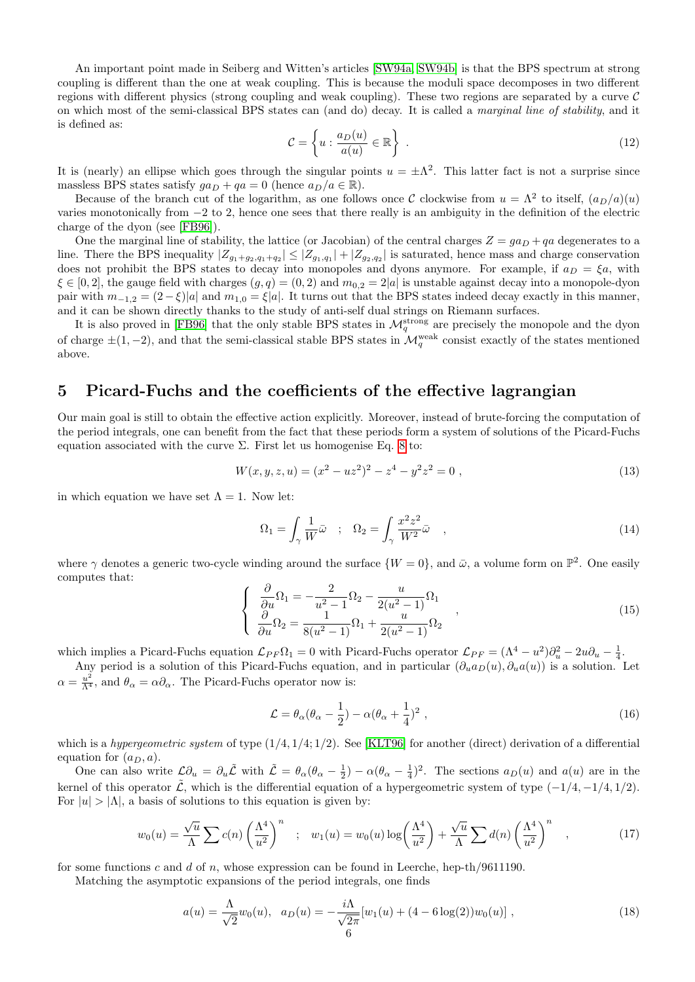An important point made in Seiberg and Witten's articles [\[SW94a,](#page-8-1) [SW94b\]](#page-8-2) is that the BPS spectrum at strong coupling is different than the one at weak coupling. This is because the moduli space decomposes in two different regions with different physics (strong coupling and weak coupling). These two regions are separated by a curve  $\mathcal C$ on which most of the semi-classical BPS states can (and do) decay. It is called a marginal line of stability, and it is defined as:

$$
\mathcal{C} = \left\{ u : \frac{a_D(u)}{a(u)} \in \mathbb{R} \right\} \tag{12}
$$

It is (nearly) an ellipse which goes through the singular points  $u = \pm \Lambda^2$ . This latter fact is not a surprise since massless BPS states satisfy  $ga_D + qa = 0$  (hence  $a_D/a \in \mathbb{R}$ ).

Because of the branch cut of the logarithm, as one follows once C clockwise from  $u = \Lambda^2$  to itself,  $(a_D/a)(u)$ varies monotonically from −2 to 2, hence one sees that there really is an ambiguity in the definition of the electric charge of the dyon (see [\[FB96\]](#page-8-12)).

One the marginal line of stability, the lattice (or Jacobian) of the central charges  $Z = ga_D + qa$  degenerates to a line. There the BPS inequality  $|Z_{g_1+g_2,q_1+q_2}|\leq |Z_{g_1,q_1}|+|Z_{g_2,q_2}|$  is saturated, hence mass and charge conservation does not prohibit the BPS states to decay into monopoles and dyons anymore. For example, if  $a_D = \xi a$ , with  $\xi \in [0,2]$ , the gauge field with charges  $(g, q) = (0, 2)$  and  $m_{0,2} = 2|a|$  is unstable against decay into a monopole-dyon pair with  $m_{-1,2} = (2 - \xi)|a|$  and  $m_{1,0} = \xi|a|$ . It turns out that the BPS states indeed decay exactly in this manner, and it can be shown directly thanks to the study of anti-self dual strings on Riemann surfaces.

It is also proved in [\[FB96\]](#page-8-12) that the only stable BPS states in  $\mathcal{M}_q^{\text{strong}}$  are precisely the monopole and the dyon of charge  $\pm(1,-2)$ , and that the semi-classical stable BPS states in  $\mathcal{M}_q^{\text{weak}}$  consist exactly of the states mentioned above.

#### 5 Picard-Fuchs and the coefficients of the effective lagrangian

Our main goal is still to obtain the effective action explicitly. Moreover, instead of brute-forcing the computation of the period integrals, one can benefit from the fact that these periods form a system of solutions of the Picard-Fuchs equation associated with the curve  $\Sigma$ . First let us homogenise Eq. [8](#page-3-0) to:

$$
W(x, y, z, u) = (x2 – uz2)2 – z4 – y2z2 = 0,
$$
\n(13)

in which equation we have set  $\Lambda = 1$ . Now let:

$$
\Omega_1 = \int_{\gamma} \frac{1}{W} \bar{\omega} \quad ; \quad \Omega_2 = \int_{\gamma} \frac{x^2 z^2}{W^2} \bar{\omega} \quad , \tag{14}
$$

where  $\gamma$  denotes a generic two-cycle winding around the surface  $\{W=0\}$ , and  $\bar{\omega}$ , a volume form on  $\mathbb{P}^2$ . One easily computes that:

$$
\begin{cases}\n\frac{\partial}{\partial u}\Omega_1 = -\frac{2}{u^2 - 1}\Omega_2 - \frac{u}{2(u^2 - 1)}\Omega_1 \\
\frac{\partial}{\partial u}\Omega_2 = \frac{1}{8(u^2 - 1)}\Omega_1 + \frac{u}{2(u^2 - 1)}\Omega_2\n\end{cases},
$$
\n(15)

which implies a Picard-Fuchs equation  $\mathcal{L}_{PF} \Omega_1 = 0$  with Picard-Fuchs operator  $\mathcal{L}_{PF} = (\Lambda^4 - u^2) \partial_u^2 - 2u \partial_u - \frac{1}{4}$ .

Any period is a solution of this Picard-Fuchs equation, and in particular  $(\partial_u a_D(u), \partial_u a(u))$  is a solution. Let  $\alpha = \frac{u^2}{\Lambda^4}$ , and  $\theta_{\alpha} = \alpha \partial_{\alpha}$ . The Picard-Fuchs operator now is:

$$
\mathcal{L} = \theta_{\alpha} (\theta_{\alpha} - \frac{1}{2}) - \alpha (\theta_{\alpha} + \frac{1}{4})^2 , \qquad (16)
$$

which is a hypergeometric system of type  $(1/4, 1/4; 1/2)$ . See [\[KLT96\]](#page-8-13) for another (direct) derivation of a differential equation for  $(a_D, a)$ .

One can also write  $\mathcal{L}\partial_u = \partial_u \tilde{\mathcal{L}}$  with  $\tilde{\mathcal{L}} = \theta_\alpha(\theta_\alpha - \frac{1}{2}) - \alpha(\theta_\alpha - \frac{1}{4})^2$ . The sections  $a_D(u)$  and  $a(u)$  are in the kernel of this operator  $\tilde{\mathcal{L}}$ , which is the differential equation of a hypergeometric system of type  $(-1/4, -1/4, 1/2)$ . For  $|u| > |\Lambda|$ , a basis of solutions to this equation is given by:

$$
w_0(u) = \frac{\sqrt{u}}{\Lambda} \sum c(n) \left(\frac{\Lambda^4}{u^2}\right)^n \quad ; \quad w_1(u) = w_0(u) \log\left(\frac{\Lambda^4}{u^2}\right) + \frac{\sqrt{u}}{\Lambda} \sum d(n) \left(\frac{\Lambda^4}{u^2}\right)^n \quad , \tag{17}
$$

for some functions c and d of n, whose expression can be found in Leerche, hep-th/9611190.

Matching the asymptotic expansions of the period integrals, one finds

$$
a(u) = \frac{\Lambda}{\sqrt{2}} w_0(u), \quad a_D(u) = -\frac{i\Lambda}{\sqrt{2\pi}} [w_1(u) + (4 - 6\log(2))w_0(u)], \qquad (18)
$$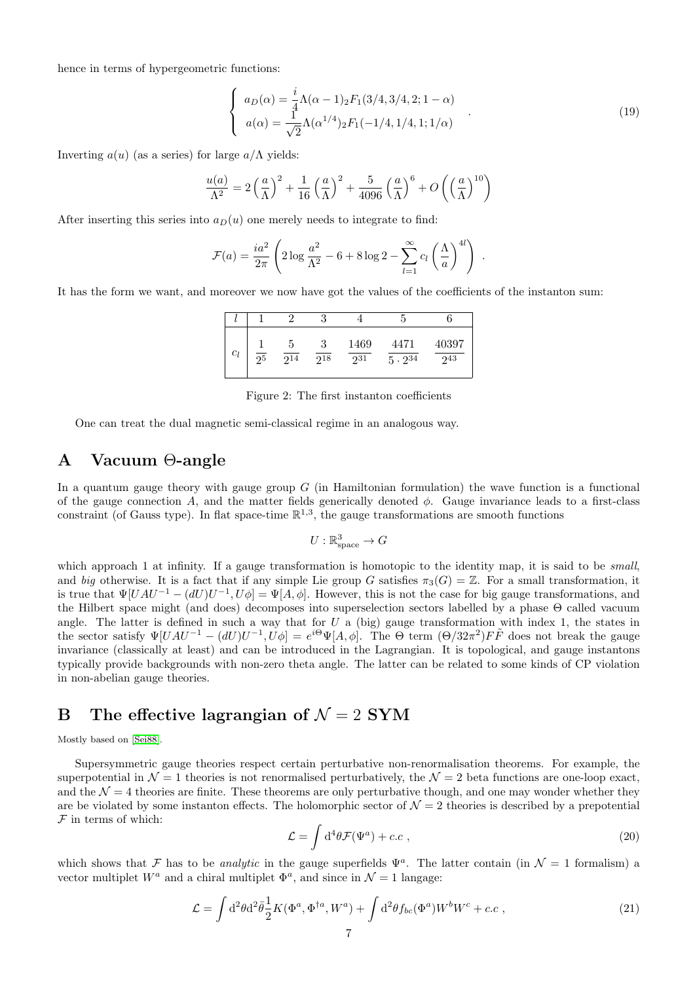hence in terms of hypergeometric functions:

$$
\begin{cases}\n a_D(\alpha) = \frac{i}{4} \Lambda(\alpha - 1)_2 F_1(3/4, 3/4, 2; 1 - \alpha) \\
 a(\alpha) = \frac{1}{\sqrt{2}} \Lambda(\alpha^{1/4})_2 F_1(-1/4, 1/4, 1; 1/\alpha)\n\end{cases} (19)
$$

Inverting  $a(u)$  (as a series) for large  $a/\Lambda$  yields:

$$
\frac{u(a)}{\Lambda^2} = 2\left(\frac{a}{\Lambda}\right)^2 + \frac{1}{16}\left(\frac{a}{\Lambda}\right)^2 + \frac{5}{4096}\left(\frac{a}{\Lambda}\right)^6 + O\left(\left(\frac{a}{\Lambda}\right)^{10}\right)
$$

After inserting this series into  $a_D(u)$  one merely needs to integrate to find:

$$
\mathcal{F}(a) = \frac{ia^2}{2\pi} \left( 2\log \frac{a^2}{\Lambda^2} - 6 + 8\log 2 - \sum_{l=1}^{\infty} c_l \left(\frac{\Lambda}{a}\right)^{4l} \right) .
$$

It has the form we want, and moreover we now have got the values of the coefficients of the instanton sum:

| $\it{c_l}$ | 95 | Ð<br>$\sqrt{2^{14}}$ | ◡<br>$\frac{2^{18}}{2^{18}}$ | 1469<br>231 | 4471<br>$5 \cdot 2^{34}$ | 40397<br>243 |
|------------|----|----------------------|------------------------------|-------------|--------------------------|--------------|

Figure 2: The first instanton coefficients

One can treat the dual magnetic semi-classical regime in an analogous way.

## A Vacuum Θ-angle

In a quantum gauge theory with gauge group  $G$  (in Hamiltonian formulation) the wave function is a functional of the gauge connection A, and the matter fields generically denoted  $\phi$ . Gauge invariance leads to a first-class constraint (of Gauss type). In flat space-time  $\mathbb{R}^{1,3}$ , the gauge transformations are smooth functions

$$
U: \mathbb{R}^3_{\text{space}} \to G
$$

which approach 1 at infinity. If a gauge transformation is homotopic to the identity map, it is said to be *small*, and big otherwise. It is a fact that if any simple Lie group G satisfies  $\pi_3(G) = \mathbb{Z}$ . For a small transformation, it is true that  $\Psi[UAU^{-1} - (dU)U^{-1}, U\phi] = \Psi[A, \phi]$ . However, this is not the case for big gauge transformations, and the Hilbert space might (and does) decomposes into superselection sectors labelled by a phase Θ called vacuum angle. The latter is defined in such a way that for  $U$  a (big) gauge transformation with index 1, the states in the sector satisfy  $\Psi[UAU^{-1} - (dU)U^{-1}, U\phi] = e^{i\Theta}\Psi[A, \phi]$ . The  $\Theta$  term  $(\Theta/32\pi^2)F\tilde{F}$  does not break the gauge invariance (classically at least) and can be introduced in the Lagrangian. It is topological, and gauge instantons typically provide backgrounds with non-zero theta angle. The latter can be related to some kinds of CP violation in non-abelian gauge theories.

## B The effective lagrangian of  $\mathcal{N} = 2$  SYM

Mostly based on [\[Sei88\]](#page-8-6).

Supersymmetric gauge theories respect certain perturbative non-renormalisation theorems. For example, the superpotential in  $\mathcal{N} = 1$  theories is not renormalised perturbatively, the  $\mathcal{N} = 2$  beta functions are one-loop exact, and the  $\mathcal{N} = 4$  theories are finite. These theorems are only perturbative though, and one may wonder whether they are be violated by some instanton effects. The holomorphic sector of  $\mathcal{N}=2$  theories is described by a prepotential  $F$  in terms of which:

$$
\mathcal{L} = \int d^4\theta \mathcal{F}(\Psi^a) + c.c , \qquad (20)
$$

which shows that F has to be *analytic* in the gauge superfields  $\Psi^a$ . The latter contain (in  $\mathcal{N} = 1$  formalism) a vector multiplet  $W^a$  and a chiral multiplet  $\Phi^a$ , and since in  $\mathcal{N}=1$  langage:

$$
\mathcal{L} = \int d^2\theta d^2\bar{\theta} \frac{1}{2} K(\Phi^a, \Phi^{\dagger a}, W^a) + \int d^2\theta f_{bc}(\Phi^a) W^b W^c + c.c , \qquad (21)
$$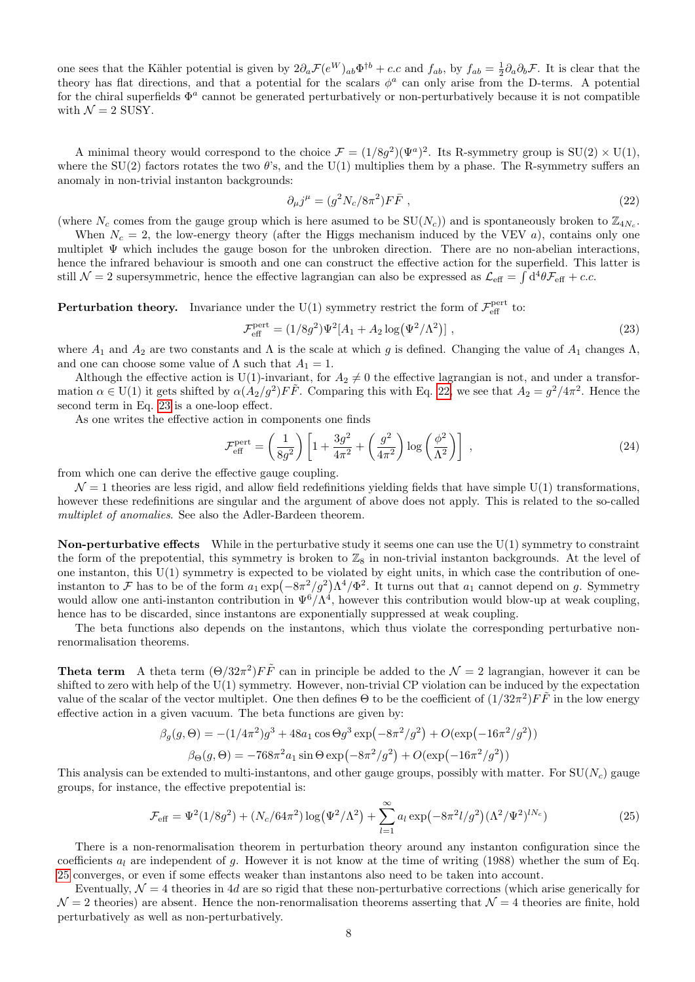one sees that the Kähler potential is given by  $2\partial_a \mathcal{F}(e^W)_{ab} \Phi^{\dagger b} + c.c$  and  $f_{ab}$ , by  $f_{ab} = \frac{1}{2} \partial_a \partial_b \mathcal{F}$ . It is clear that the theory has flat directions, and that a potential for the scalars  $\phi^a$  can only arise from the D-terms. A potential for the chiral superfields  $\Phi^a$  cannot be generated perturbatively or non-perturbatively because it is not compatible with  $\mathcal{N} = 2$  SUSY.

A minimal theory would correspond to the choice  $\mathcal{F} = (1/8g^2)(\Psi^a)^2$ . Its R-symmetry group is  $SU(2) \times U(1)$ , where the SU(2) factors rotates the two  $\theta$ 's, and the U(1) multiplies them by a phase. The R-symmetry suffers an anomaly in non-trivial instanton backgrounds:

<span id="page-7-0"></span>
$$
\partial_{\mu}j^{\mu} = (g^2 N_c / 8\pi^2) F\bar{F} \tag{22}
$$

(where  $N_c$  comes from the gauge group which is here asumed to be  $SU(N_c)$ ) and is spontaneously broken to  $\mathbb{Z}_{4N_c}$ .

When  $N_c = 2$ , the low-energy theory (after the Higgs mechanism induced by the VEV a), contains only one multiplet Ψ which includes the gauge boson for the unbroken direction. There are no non-abelian interactions, hence the infrared behaviour is smooth and one can construct the effective action for the superfield. This latter is still  $\mathcal{N}=2$  supersymmetric, hence the effective lagrangian can also be expressed as  $\mathcal{L}_{\text{eff}} = \int d^4\theta \mathcal{F}_{\text{eff}} + c.c.$ 

**Perturbation theory.** Invariance under the U(1) symmetry restrict the form of  $\mathcal{F}_{\text{eff}}^{\text{pert}}$  to:

<span id="page-7-1"></span>
$$
\mathcal{F}_{\text{eff}}^{\text{pert}} = (1/8g^2)\Psi^2[A_1 + A_2 \log(\Psi^2/\Lambda^2)],\qquad (23)
$$

where  $A_1$  and  $A_2$  are two constants and  $\Lambda$  is the scale at which g is defined. Changing the value of  $A_1$  changes  $\Lambda$ , and one can choose some value of  $\Lambda$  such that  $A_1 = 1$ .

Although the effective action is U(1)-invariant, for  $A_2 \neq 0$  the effective lagrangian is not, and under a transformation  $\alpha \in U(1)$  it gets shifted by  $\alpha(A_2/g^2) F\tilde{F}$ . Comparing this with Eq. [22,](#page-7-0) we see that  $A_2 = g^2/4\pi^2$ . Hence the second term in Eq. [23](#page-7-1) is a one-loop effect.

As one writes the effective action in components one finds

$$
\mathcal{F}_{\text{eff}}^{\text{pert}} = \left(\frac{1}{8g^2}\right) \left[1 + \frac{3g^2}{4\pi^2} + \left(\frac{g^2}{4\pi^2}\right) \log\left(\frac{\phi^2}{\Lambda^2}\right)\right] \,,\tag{24}
$$

from which one can derive the effective gauge coupling.

 $\mathcal{N}=1$  theories are less rigid, and allow field redefinitions yielding fields that have simple U(1) transformations, however these redefinitions are singular and the argument of above does not apply. This is related to the so-called multiplet of anomalies. See also the Adler-Bardeen theorem.

**Non-perturbative effects** While in the perturbative study it seems one can use the  $U(1)$  symmetry to constraint the form of the prepotential, this symmetry is broken to  $\mathbb{Z}_8$  in non-trivial instanton backgrounds. At the level of one instanton, this  $U(1)$  symmetry is expected to be violated by eight units, in which case the contribution of oneinstanton to F has to be of the form  $a_1 \exp(-8\pi^2/g^2) \Lambda^4/\Phi^2$ . It turns out that  $a_1$  cannot depend on g. Symmetry would allow one anti-instanton contribution in  $\Psi^6/\Lambda^4$ , however this contribution would blow-up at weak coupling, hence has to be discarded, since instantons are exponentially suppressed at weak coupling.

The beta functions also depends on the instantons, which thus violate the corresponding perturbative nonrenormalisation theorems.

**Theta term** A theta term  $(\Theta/32\pi^2)F\tilde{F}$  can in principle be added to the  $\mathcal{N}=2$  lagrangian, however it can be shifted to zero with help of the U(1) symmetry. However, non-trivial CP violation can be induced by the expectation value of the scalar of the vector multiplet. One then defines  $\Theta$  to be the coefficient of  $(1/32\pi^2)F\tilde{F}$  in the low energy effective action in a given vacuum. The beta functions are given by:

$$
\beta_g(g, \Theta) = -(1/4\pi^2)g^3 + 48a_1 \cos \Theta g^3 \exp(-8\pi^2/g^2) + O(\exp(-16\pi^2/g^2))
$$

$$
\beta_{\Theta}(g, \Theta) = -768\pi^2 a_1 \sin \Theta \exp(-8\pi^2/g^2) + O(\exp(-16\pi^2/g^2))
$$

This analysis can be extended to multi-instantons, and other gauge groups, possibly with matter. For  $SU(N_c)$  gauge groups, for instance, the effective prepotential is:

<span id="page-7-2"></span>
$$
\mathcal{F}_{\text{eff}} = \Psi^2 (1/8g^2) + (N_c/64\pi^2) \log(\Psi^2/\Lambda^2) + \sum_{l=1}^{\infty} a_l \exp(-8\pi^2 l/g^2) (\Lambda^2/\Psi^2)^{lN_c})
$$
(25)

There is a non-renormalisation theorem in perturbation theory around any instanton configuration since the coefficients  $a_l$  are independent of g. However it is not know at the time of writing (1988) whether the sum of Eq. [25](#page-7-2) converges, or even if some effects weaker than instantons also need to be taken into account.

Eventually,  $\mathcal{N}=4$  theories in 4d are so rigid that these non-perturbative corrections (which arise generically for  $\mathcal{N}=2$  theories) are absent. Hence the non-renormalisation theorems asserting that  $\mathcal{N}=4$  theories are finite, hold perturbatively as well as non-perturbatively.